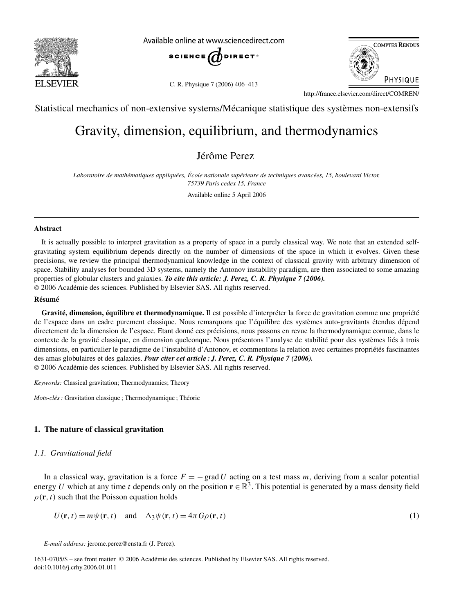

Available online at www.sciencedirect.com



C. R. Physique 7 (2006) 406–413



http://france.elsevier.com/direct/COMREN/

Statistical mechanics of non-extensive systems/Mécanique statistique des systèmes non-extensifs

# Gravity, dimension, equilibrium, and thermodynamics

Jérôme Perez

*Laboratoire de mathématiques appliquées, École nationale supérieure de techniques avancées, 15, boulevard Victor, 75739 Paris cedex 15, France* Available online 5 April 2006

#### **Abstract**

It is actually possible to interpret gravitation as a property of space in a purely classical way. We note that an extended selfgravitating system equilibrium depends directly on the number of dimensions of the space in which it evolves. Given these precisions, we review the principal thermodynamical knowledge in the context of classical gravity with arbitrary dimension of space. Stability analyses for bounded 3D systems, namely the Antonov instability paradigm, are then associated to some amazing properties of globular clusters and galaxies. *To cite this article: J. Perez, C. R. Physique 7 (2006).* © 2006 Académie des sciences. Published by Elsevier SAS. All rights reserved.

#### **Résumé**

**Gravité, dimension, équilibre et thermodynamique.** Il est possible d'interpréter la force de gravitation comme une propriété de l'espace dans un cadre purement classique. Nous remarquons que l'équilibre des systèmes auto-gravitants étendus dépend directement de la dimension de l'espace. Etant donné ces précisions, nous passons en revue la thermodynamique connue, dans le contexte de la gravité classique, en dimension quelconque. Nous présentons l'analyse de stabilité pour des systèmes liés à trois dimensions, en particulier le paradigme de l'instabilité d'Antonov, et commentons la relation avec certaines propriétés fascinantes des amas globulaires et des galaxies. *Pour citer cet article : J. Perez, C. R. Physique 7 (2006).* © 2006 Académie des sciences. Published by Elsevier SAS. All rights reserved.

*Keywords:* Classical gravitation; Thermodynamics; Theory

*Mots-clés :* Gravitation classique ; Thermodynamique ; Théorie

# **1. The nature of classical gravitation**

## *1.1. Gravitational field*

In a classical way, gravitation is a force  $F = -\text{grad }U$  acting on a test mass *m*, deriving from a scalar potential energy *U* which at any time *t* depends only on the position  $\mathbf{r} \in \mathbb{R}^3$ . This potential is generated by a mass density field  $\rho(\mathbf{r}, t)$  such that the Poisson equation holds

$$
U(\mathbf{r},t) = m\psi(\mathbf{r},t) \quad \text{and} \quad \Delta_3\psi(\mathbf{r},t) = 4\pi G\rho(\mathbf{r},t)
$$
 (1)

*E-mail address:* jerome.perez@ensta.fr (J. Perez).

<sup>1631-0705/\$ –</sup> see front matter © 2006 Académie des sciences. Published by Elsevier SAS. All rights reserved. doi:10.1016/j.crhy.2006.01.011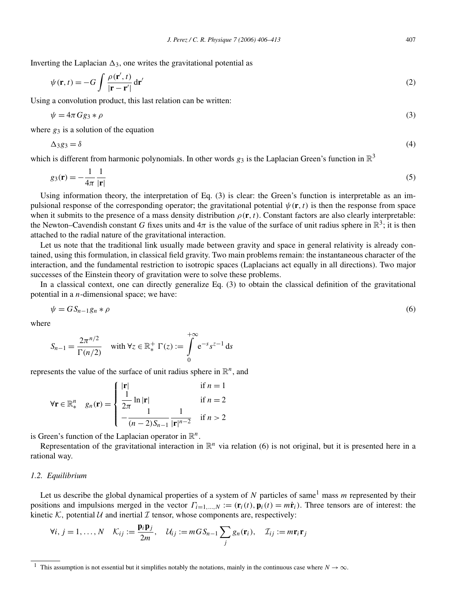Inverting the Laplacian  $\Delta_3$ , one writes the gravitational potential as

$$
\psi(\mathbf{r},t) = -G \int \frac{\rho(\mathbf{r}',t)}{|\mathbf{r} - \mathbf{r}'|} d\mathbf{r}'
$$
\n(2)

Using a convolution product, this last relation can be written:

$$
\psi = 4\pi Gg_3 * \rho \tag{3}
$$

where  $g_3$  is a solution of the equation

$$
\Delta_3 g_3 = \delta \tag{4}
$$

which is different from harmonic polynomials. In other words  $g_3$  is the Laplacian Green's function in  $\mathbb{R}^3$ 

$$
g_3(\mathbf{r}) = -\frac{1}{4\pi} \frac{1}{|\mathbf{r}|} \tag{5}
$$

Using information theory, the interpretation of Eq. (3) is clear: the Green's function is interpretable as an impulsional response of the corresponding operator; the gravitational potential  $\psi(\mathbf{r},t)$  is then the response from space when it submits to the presence of a mass density distribution  $\rho(\mathbf{r},t)$ . Constant factors are also clearly interpretable: the Newton–Cavendish constant *G* fixes units and  $4\pi$  is the value of the surface of unit radius sphere in  $\mathbb{R}^3$ ; it is then attached to the radial nature of the gravitational interaction.

Let us note that the traditional link usually made between gravity and space in general relativity is already contained, using this formulation, in classical field gravity. Two main problems remain: the instantaneous character of the interaction, and the fundamental restriction to isotropic spaces (Laplacians act equally in all directions). Two major successes of the Einstein theory of gravitation were to solve these problems.

In a classical context, one can directly generalize Eq. (3) to obtain the classical definition of the gravitational potential in a *n*-dimensional space; we have:

$$
\psi = G S_{n-1} g_n * \rho \tag{6}
$$

where

$$
S_{n-1} = \frac{2\pi^{n/2}}{\Gamma(n/2)} \quad \text{with } \forall z \in \mathbb{R}_*^+ \; \Gamma(z) := \int_0^{+\infty} e^{-s} s^{z-1} \, \mathrm{d} s
$$

represents the value of the surface of unit radius sphere in  $\mathbb{R}^n$ , and

$$
\forall \mathbf{r} \in \mathbb{R}_*^n \quad g_n(\mathbf{r}) = \begin{cases} |\mathbf{r}| & \text{if } n = 1\\ \frac{1}{2\pi} \ln |\mathbf{r}| & \text{if } n = 2\\ -\frac{1}{(n-2)S_{n-1}} \frac{1}{|\mathbf{r}|^{n-2}} & \text{if } n > 2 \end{cases}
$$

is Green's function of the Laplacian operator in  $\mathbb{R}^n$ .

Representation of the gravitational interaction in  $\mathbb{R}^n$  via relation (6) is not original, but it is presented here in a rational way.

#### *1.2. Equilibrium*

Let us describe the global dynamical properties of a system of  $N$  particles of same<sup>1</sup> mass  $m$  represented by their positions and impulsions merged in the vector  $\Gamma_{i=1,...,N} := (\mathbf{r}_i(t), \mathbf{p}_i(t) = m\dot{\mathbf{r}}_i)$ . Three tensors are of interest: the kinetic K, potential  $U$  and inertial  $I$  tensor, whose components are, respectively:

$$
\forall i, j = 1, ..., N \quad \mathcal{K}_{ij} := \frac{\mathbf{p}_i \mathbf{p}_j}{2m}, \quad \mathcal{U}_{ij} := m G S_{n-1} \sum_j g_n(\mathbf{r}_i), \quad \mathcal{I}_{ij} := m \mathbf{r}_i \mathbf{r}_j
$$

<sup>&</sup>lt;sup>1</sup> This assumption is not essential but it simplifies notably the notations, mainly in the continuous case where  $N \to \infty$ .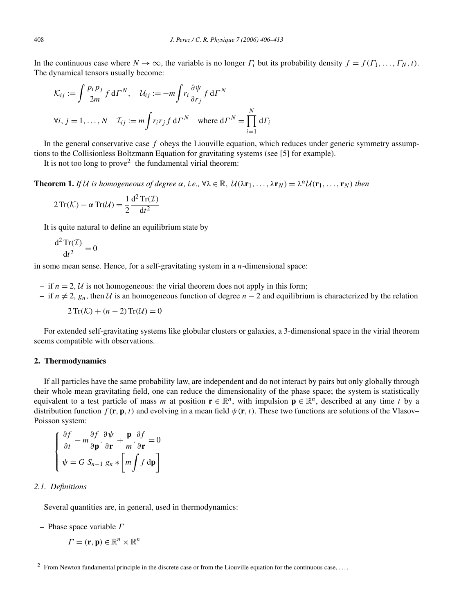In the continuous case where  $N \to \infty$ , the variable is no longer  $\Gamma_i$  but its probability density  $f = f(\Gamma_1, \ldots, \Gamma_N, t)$ . The dynamical tensors usually become:

$$
\mathcal{K}_{ij} := \int \frac{p_i p_j}{2m} f \, d\Gamma^N, \quad \mathcal{U}_{ij} := -m \int r_i \frac{\partial \psi}{\partial r_j} f \, d\Gamma^N
$$
  

$$
\forall i, j = 1, ..., N \quad \mathcal{I}_{ij} := m \int r_i r_j f \, d\Gamma^N \quad \text{where } d\Gamma^N = \prod_{i=1}^N d\Gamma_i
$$

In the general conservative case *f* obeys the Liouville equation, which reduces under generic symmetry assumptions to the Collisionless Boltzmann Equation for gravitating systems (see [5] for example).

It is not too long to prove<sup>2</sup> the fundamental virial theorem:

**Theorem 1.** If U is homogeneous of degree  $\alpha$ , i.e.,  $\forall \lambda \in \mathbb{R}$ ,  $\mathcal{U}(\lambda \mathbf{r}_1, \dots, \lambda \mathbf{r}_N) = \lambda^{\alpha} \mathcal{U}(\mathbf{r}_1, \dots, \mathbf{r}_N)$  then

$$
2\operatorname{Tr}(\mathcal{K}) - \alpha \operatorname{Tr}(\mathcal{U}) = \frac{1}{2} \frac{d^2 \operatorname{Tr}(\mathcal{I})}{dt^2}
$$

It is quite natural to define an equilibrium state by

$$
\frac{\mathrm{d}^2\operatorname{Tr}(\mathcal{I})}{\mathrm{d}t^2} = 0
$$

in some mean sense. Hence, for a self-gravitating system in a *n*-dimensional space:

- if  $n = 2$ , U is not homogeneous: the virial theorem does not apply in this form;
- if *n* = 2, *gn*, then U is an homogeneous function of degree *n* − 2 and equilibrium is characterized by the relation

 $2\operatorname{Tr}(\mathcal{K}) + (n-2)\operatorname{Tr}(\mathcal{U}) = 0$ 

For extended self-gravitating systems like globular clusters or galaxies, a 3-dimensional space in the virial theorem seems compatible with observations.

#### **2. Thermodynamics**

If all particles have the same probability law, are independent and do not interact by pairs but only globally through their whole mean gravitating field, one can reduce the dimensionality of the phase space; the system is statistically equivalent to a test particle of mass *m* at position  $\mathbf{r} \in \mathbb{R}^n$ , with impulsion  $\mathbf{p} \in \mathbb{R}^n$ , described at any time *t* by a distribution function  $f(\mathbf{r}, \mathbf{p}, t)$  and evolving in a mean field  $\psi(\mathbf{r}, t)$ . These two functions are solutions of the Vlasov– Poisson system:

$$
\begin{cases} \frac{\partial f}{\partial t} - m \frac{\partial f}{\partial \mathbf{p}} \cdot \frac{\partial \psi}{\partial \mathbf{r}} + \frac{\mathbf{p}}{m} \cdot \frac{\partial f}{\partial \mathbf{r}} = 0 \\ \psi = G \ S_{n-1} \ g_n * \left[ m \int f \ \mathrm{d} \mathbf{p} \right] \end{cases}
$$

## *2.1. Definitions*

Several quantities are, in general, used in thermodynamics:

– Phase space variable *Γ*

$$
\boldsymbol{\varGamma}=(\mathbf{r},\mathbf{p})\in\mathbb{R}^n\times\mathbb{R}^n
$$

<sup>&</sup>lt;sup>2</sup> From Newton fundamental principle in the discrete case or from the Liouville equation for the continuous case, ....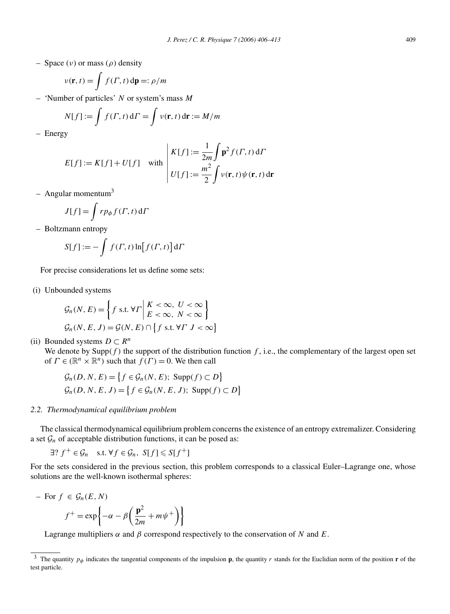– Space (*ν*) or mass (*ρ*) density

$$
v(\mathbf{r},t) = \int f(\Gamma,t) \, \mathrm{d}\mathbf{p} =: \rho/m
$$

– 'Number of particles' *N* or system's mass *M*

$$
N[f] := \int f(\Gamma, t) d\Gamma = \int v(\mathbf{r}, t) d\mathbf{r} := M/m
$$

– Energy

$$
E[f] := K[f] + U[f] \quad \text{with} \quad\n\begin{aligned}\nK[f] &:= \frac{1}{2m} \int \mathbf{p}^2 f(\Gamma, t) \, \mathrm{d}\Gamma \\
U[f] &:= \frac{m^2}{2} \int \nu(\mathbf{r}, t) \psi(\mathbf{r}, t) \, \mathrm{d}\mathbf{r}\n\end{aligned}
$$

– Angular momentum $3$ 

$$
J[f] = \int r p_{\phi} f(\Gamma, t) d\Gamma
$$

– Boltzmann entropy

$$
S[f] := -\int f(\Gamma, t) \ln[f(\Gamma, t)] \, \mathrm{d}\Gamma
$$

For precise considerations let us define some sets:

(i) Unbounded systems

$$
\mathcal{G}_n(N, E) = \left\{ f \text{ s.t. } \forall \Gamma \middle| \begin{aligned} K < \infty, U < \infty \\ E < \infty, N < \infty \end{aligned} \right\}
$$
\n
$$
\mathcal{G}_n(N, E, J) = \mathcal{G}(N, E) \cap \left\{ f \text{ s.t. } \forall \Gamma \ J < \infty \right\}
$$

(ii) Bounded systems  $D \subset R^n$ 

We denote by  $\text{Supp}(f)$  the support of the distribution function  $f$ , i.e., the complementary of the largest open set of  $\Gamma \in (\mathbb{R}^n \times \mathbb{R}^n)$  such that  $f(\Gamma) = 0$ . We then call

$$
\mathcal{G}_n(D, N, E) = \left\{ f \in \mathcal{G}_n(N, E); \text{ Supp}(f) \subset D \right\}
$$
  

$$
\mathcal{G}_n(D, N, E, J) = \left\{ f \in \mathcal{G}_n(N, E, J); \text{ Supp}(f) \subset D \right\}
$$

# *2.2. Thermodynamical equilibrium problem*

The classical thermodynamical equilibrium problem concerns the existence of an entropy extremalizer. Considering a set  $\mathcal{G}_n$  of acceptable distribution functions, it can be posed as:

 $\exists$ ?  $f^+ \in \mathcal{G}_n$  s.t.  $\forall f \in \mathcal{G}_n$ ,  $S[f] \leqslant S[f^+]$ 

For the sets considered in the previous section, this problem corresponds to a classical Euler–Lagrange one, whose solutions are the well-known isothermal spheres:

$$
-\text{ For } f \in \mathcal{G}_n(E, N)
$$

$$
f^+ = \exp\left\{-\alpha - \beta \left(\frac{\mathbf{p}^2}{2m} + m\psi^+\right)\right\}
$$

Lagrange multipliers  $\alpha$  and  $\beta$  correspond respectively to the conservation of *N* and *E*.

 $\setminus$ 

<sup>&</sup>lt;sup>3</sup> The quantity  $p_{\phi}$  indicates the tangential components of the impulsion **p**, the quantity *r* stands for the Euclidian norm of the position **r** of the test particle.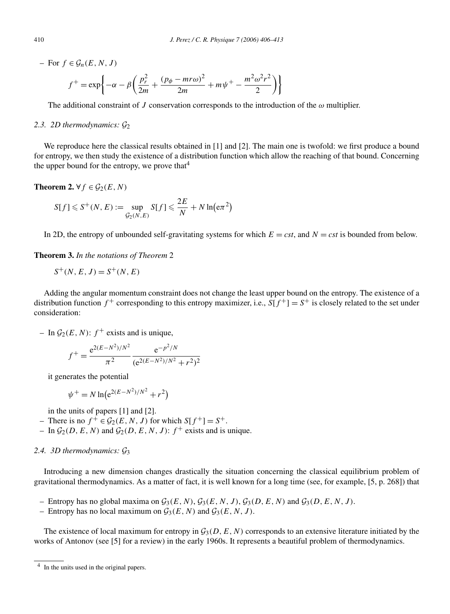$-$  For  $f \in \mathcal{G}_n(E, N, J)$ 

$$
f^{+} = \exp\left\{-\alpha - \beta \left(\frac{p_r^2}{2m} + \frac{(p_\phi - mr\omega)^2}{2m} + m\psi^+ - \frac{m^2\omega^2r^2}{2}\right)\right\}
$$

The additional constraint of *J* conservation corresponds to the introduction of the *ω* multiplier.

## *2.3. 2D thermodynamics:* G<sup>2</sup>

We reproduce here the classical results obtained in [1] and [2]. The main one is twofold: we first produce a bound for entropy, we then study the existence of a distribution function which allow the reaching of that bound. Concerning the upper bound for the entropy, we prove that<sup>4</sup>

**Theorem 2.**  $\forall f \in \mathcal{G}_2(E, N)$ 

$$
S[f] \leqslant S^+(N, E) := \sup_{\mathcal{G}_2(N, E)} S[f] \leqslant \frac{2E}{N} + N \ln(\mathrm{e} \pi^2)
$$

In 2D, the entropy of unbounded self-gravitating systems for which  $E = cst$ , and  $N = cst$  is bounded from below.

**Theorem 3.** *In the notations of Theorem* 2

$$
S^+(N, E, J) = S^+(N, E)
$$

Adding the angular momentum constraint does not change the least upper bound on the entropy. The existence of a distribution function  $f^+$  corresponding to this entropy maximizer, i.e.,  $S[f^+] = S^+$  is closely related to the set under consideration:

– In  $\mathcal{G}_2(E, N)$ :  $f^+$  exists and is unique,

$$
f^{+} = \frac{e^{2(E - N^2)/N^2}}{\pi^2} \frac{e^{-p^2/N}}{(e^{2(E - N^2)/N^2} + r^2)^2}
$$

it generates the potential

$$
\psi^+ = N \ln(e^{2(E - N^2)/N^2} + r^2)
$$

in the units of papers [1] and [2].

- There is no  $f^+ ∈ \mathcal{G}_2(E, N, J)$  for which  $S[f^+] = S^+$ .
- In  $\mathcal{G}_2(D, E, N)$  and  $\mathcal{G}_2(D, E, N, J)$ :  $f^+$  exists and is unique.

# *2.4. 3D thermodynamics:* G<sup>3</sup>

Introducing a new dimension changes drastically the situation concerning the classical equilibrium problem of gravitational thermodynamics. As a matter of fact, it is well known for a long time (see, for example, [5, p. 268]) that

- Entropy has no global maxima on  $\mathcal{G}_3(E, N)$ ,  $\mathcal{G}_3(E, N, J)$ ,  $\mathcal{G}_3(D, E, N)$  and  $\mathcal{G}_3(D, E, N, J)$ .
- Entropy has no local maximum on  $\mathcal{G}_3(E,N)$  and  $\mathcal{G}_3(E,N,J)$ .

The existence of local maximum for entropy in  $G_3(D, E, N)$  corresponds to an extensive literature initiated by the works of Antonov (see [5] for a review) in the early 1960s. It represents a beautiful problem of thermodynamics.

<sup>4</sup> In the units used in the original papers.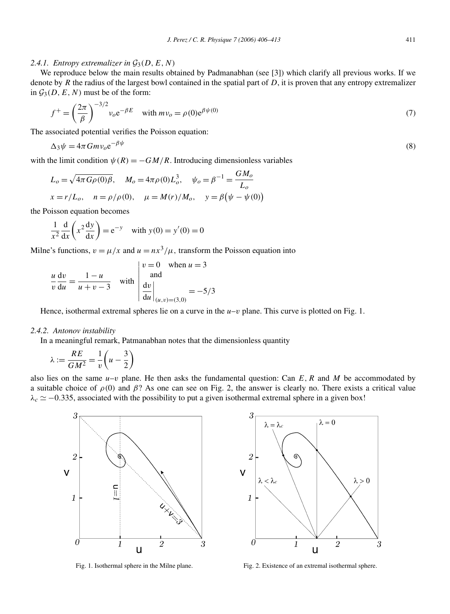## 2.4.1. Entropy extremalizer in  $\mathcal{G}_3(D, E, N)$

We reproduce below the main results obtained by Padmanabhan (see [3]) which clarify all previous works. If we denote by *R* the radius of the largest bowl contained in the spatial part of *D*, it is proven that any entropy extremalizer in  $G_3(D, E, N)$  must be of the form:

$$
f^{+} = \left(\frac{2\pi}{\beta}\right)^{-3/2} v_o e^{-\beta E} \quad \text{with } mv_o = \rho(0)e^{\beta \psi(0)}
$$
 (7)

The associated potential verifies the Poisson equation:

$$
\Delta_3 \psi = 4\pi G m v_o e^{-\beta \psi} \tag{8}
$$

with the limit condition  $\psi(R) = -GM/R$ . Introducing dimensionless variables

$$
L_o = \sqrt{4\pi G\rho(0)\beta}, \quad M_o = 4\pi \rho(0)L_o^3, \quad \psi_o = \beta^{-1} = \frac{GM_o}{L_o}
$$
  

$$
x = r/L_o, \quad n = \rho/\rho(0), \quad \mu = M(r)/M_o, \quad y = \beta(\psi - \psi(0))
$$

the Poisson equation becomes

$$
\frac{1}{x^2} \frac{d}{dx} \left( x^2 \frac{dy}{dx} \right) = e^{-y} \quad \text{with } y(0) = y'(0) = 0
$$

Milne's functions,  $v = \mu/x$  and  $u = nx^3/\mu$ , transform the Poisson equation into

$$
\frac{u}{v}\frac{dv}{du} = \frac{1-u}{u+v-3}
$$
 with 
$$
\begin{vmatrix} v=0 & \text{when } u=3\\ \text{and} \\ \frac{dv}{du}\Big|_{(u,v)=(3,0)} = -5/3
$$

Hence, isothermal extremal spheres lie on a curve in the  $u-v$  plane. This curve is plotted on Fig. 1.

## *2.4.2. Antonov instability*

In a meaningful remark, Patmanabhan notes that the dimensionless quantity

$$
\lambda := \frac{RE}{GM^2} = \frac{1}{v} \left( u - \frac{3}{2} \right)
$$

also lies on the same  $u-v$  plane. He then asks the fundamental question: Can  $E$ , R and M be accommodated by a suitable choice of  $\rho(0)$  and  $\beta$ ? As one can see on Fig. 2, the answer is clearly no. There exists a critical value  $\lambda_c \simeq -0.335$ , associated with the possibility to put a given isothermal extremal sphere in a given box!



Fig. 1. Isothermal sphere in the Milne plane. Fig. 2. Existence of an extremal isothermal sphere.

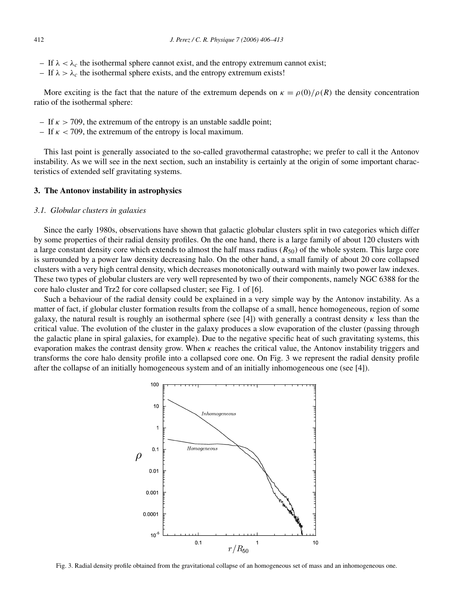- If *λ<λc* the isothermal sphere cannot exist, and the entropy extremum cannot exist;
- If *λ>λc* the isothermal sphere exists, and the entropy extremum exists!

More exciting is the fact that the nature of the extremum depends on  $\kappa = \rho(0)/\rho(R)$  the density concentration ratio of the isothermal sphere:

- If *κ >* 709, the extremum of the entropy is an unstable saddle point;
- If *κ <* 709, the extremum of the entropy is local maximum.

This last point is generally associated to the so-called gravothermal catastrophe; we prefer to call it the Antonov instability. As we will see in the next section, such an instability is certainly at the origin of some important characteristics of extended self gravitating systems.

#### **3. The Antonov instability in astrophysics**

#### *3.1. Globular clusters in galaxies*

Since the early 1980s, observations have shown that galactic globular clusters split in two categories which differ by some properties of their radial density profiles. On the one hand, there is a large family of about 120 clusters with a large constant density core which extends to almost the half mass radius  $(R_{50})$  of the whole system. This large core is surrounded by a power law density decreasing halo. On the other hand, a small family of about 20 core collapsed clusters with a very high central density, which decreases monotonically outward with mainly two power law indexes. These two types of globular clusters are very well represented by two of their components, namely NGC 6388 for the core halo cluster and Trz2 for core collapsed cluster; see Fig. 1 of [6].

Such a behaviour of the radial density could be explained in a very simple way by the Antonov instability. As a matter of fact, if globular cluster formation results from the collapse of a small, hence homogeneous, region of some galaxy, the natural result is roughly an isothermal sphere (see [4]) with generally a contrast density  $\kappa$  less than the critical value. The evolution of the cluster in the galaxy produces a slow evaporation of the cluster (passing through the galactic plane in spiral galaxies, for example). Due to the negative specific heat of such gravitating systems, this evaporation makes the contrast density grow. When *κ* reaches the critical value, the Antonov instability triggers and transforms the core halo density profile into a collapsed core one. On Fig. 3 we represent the radial density profile after the collapse of an initially homogeneous system and of an initially inhomogeneous one (see [4]).



Fig. 3. Radial density profile obtained from the gravitational collapse of an homogeneous set of mass and an inhomogeneous one.